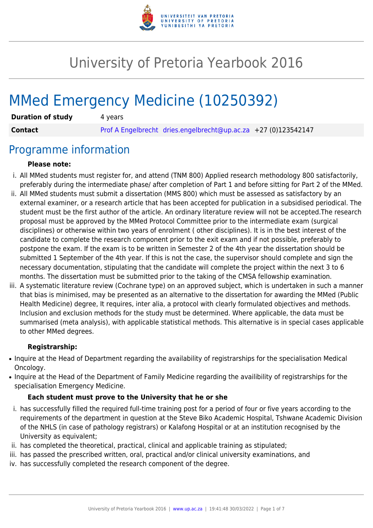

# University of Pretoria Yearbook 2016

# MMed Emergency Medicine (10250392)

| <b>Duration of study</b> | 4 years |                                                                |  |
|--------------------------|---------|----------------------------------------------------------------|--|
| <b>Contact</b>           |         | Prof A Engelbrecht dries.engelbrecht@up.ac.za +27 (0)123542147 |  |

# Programme information

#### **Please note:**

- i. All MMed students must register for, and attend (TNM 800) Applied research methodology 800 satisfactorily, preferably during the intermediate phase/ after completion of Part 1 and before sitting for Part 2 of the MMed.
- ii. All MMed students must submit a dissertation (MMS 800) which must be assessed as satisfactory by an external examiner, or a research article that has been accepted for publication in a subsidised periodical. The student must be the first author of the article. An ordinary literature review will not be accepted.The research proposal must be approved by the MMed Protocol Committee prior to the intermediate exam (surgical disciplines) or otherwise within two years of enrolment ( other disciplines). It is in the best interest of the candidate to complete the research component prior to the exit exam and if not possible, preferably to postpone the exam. If the exam is to be written in Semester 2 of the 4th year the dissertation should be submitted 1 September of the 4th year. If this is not the case, the supervisor should complete and sign the necessary documentation, stipulating that the candidate will complete the project within the next 3 to 6 months. The dissertation must be submitted prior to the taking of the CMSA fellowship examination.
- iii. A systematic literature review (Cochrane type) on an approved subject, which is undertaken in such a manner that bias is minimised, may be presented as an alternative to the dissertation for awarding the MMed (Public Health Medicine) degree, It requires, inter alia, a protocol with clearly formulated objectives and methods. Inclusion and exclusion methods for the study must be determined. Where applicable, the data must be summarised (meta analysis), with applicable statistical methods. This alternative is in special cases applicable to other MMed degrees.

#### **Registrarship:**

- Inquire at the Head of Department regarding the availability of registrarships for the specialisation Medical Oncology.
- Inquire at the Head of the Department of Family Medicine regarding the availibility of registrarships for the specialisation Emergency Medicine.

#### **Each student must prove to the University that he or she**

- i. has successfully filled the required full-time training post for a period of four or five years according to the requirements of the department in question at the Steve Biko Academic Hospital, Tshwane Academic Division of the NHLS (in case of pathology registrars) or Kalafong Hospital or at an institution recognised by the University as equivalent;
- ii. has completed the theoretical, practical, clinical and applicable training as stipulated;
- iii. has passed the prescribed written, oral, practical and/or clinical university examinations, and
- iv. has successfully completed the research component of the degree.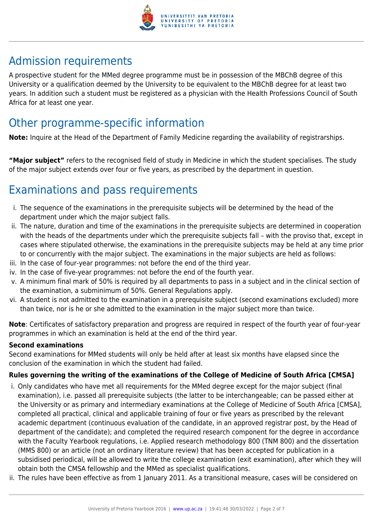

# Admission requirements

A prospective student for the MMed degree programme must be in possession of the MBChB degree of this University or a qualification deemed by the University to be equivalent to the MBChB degree for at least two years. In addition such a student must be registered as a physician with the Health Professions Council of South Africa for at least one year.

# Other programme-specific information

**Note:** Inquire at the Head of the Department of Family Medicine regarding the availability of registrarships.

**"Major subject"** refers to the recognised field of study in Medicine in which the student specialises. The study of the major subject extends over four or five years, as prescribed by the department in question.

# Examinations and pass requirements

- i. The sequence of the examinations in the prerequisite subjects will be determined by the head of the department under which the major subject falls.
- ii. The nature, duration and time of the examinations in the prerequisite subjects are determined in cooperation with the heads of the departments under which the prerequisite subjects fall – with the proviso that, except in cases where stipulated otherwise, the examinations in the prerequisite subjects may be held at any time prior to or concurrently with the major subject. The examinations in the major subjects are held as follows:
- iii. In the case of four-year programmes: not before the end of the third year.
- iv. In the case of five-year programmes: not before the end of the fourth year.
- v. A minimum final mark of 50% is required by all departments to pass in a subject and in the clinical section of the examination, a subminimum of 50%. General Regulations apply.
- vi. A student is not admitted to the examination in a prerequisite subject (second examinations excluded) more than twice, nor is he or she admitted to the examination in the major subject more than twice.

**Note**: Certificates of satisfactory preparation and progress are required in respect of the fourth year of four-year programmes in which an examination is held at the end of the third year.

#### **Second examinations**

Second examinations for MMed students will only be held after at least six months have elapsed since the conclusion of the examination in which the student had failed.

#### **Rules governing the writing of the examinations of the College of Medicine of South Africa [CMSA]**

- i. Only candidates who have met all requirements for the MMed degree except for the major subject (final examination), i.e. passed all prerequisite subjects (the latter to be interchangeable; can be passed either at the University or as primary and intermediary examinations at the College of Medicine of South Africa [CMSA], completed all practical, clinical and applicable training of four or five years as prescribed by the relevant academic department (continuous evaluation of the candidate, in an approved registrar post, by the Head of department of the candidate); and completed the required research component for the degree in accordance with the Faculty Yearbook regulations, i.e. Applied research methodology 800 (TNM 800) and the dissertation (MMS 800) or an article (not an ordinary literature review) that has been accepted for publication in a subsidised periodical, will be allowed to write the college examination (exit examination), after which they will obtain both the CMSA fellowship and the MMed as specialist qualifications.
- ii. The rules have been effective as from 1 January 2011. As a transitional measure, cases will be considered on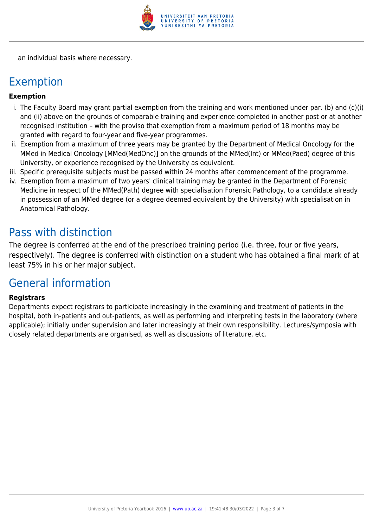

an individual basis where necessary.

# Exemption

#### **Exemption**

- i. The Faculty Board may grant partial exemption from the training and work mentioned under par. (b) and (c)(i) and (ii) above on the grounds of comparable training and experience completed in another post or at another recognised institution – with the proviso that exemption from a maximum period of 18 months may be granted with regard to four-year and five-year programmes.
- ii. Exemption from a maximum of three years may be granted by the Department of Medical Oncology for the MMed in Medical Oncology [MMed(MedOnc)] on the grounds of the MMed(Int) or MMed(Paed) degree of this University, or experience recognised by the University as equivalent.
- iii. Specific prerequisite subjects must be passed within 24 months after commencement of the programme.
- iv. Exemption from a maximum of two years' clinical training may be granted in the Department of Forensic Medicine in respect of the MMed(Path) degree with specialisation Forensic Pathology, to a candidate already in possession of an MMed degree (or a degree deemed equivalent by the University) with specialisation in Anatomical Pathology.

# Pass with distinction

The degree is conferred at the end of the prescribed training period (i.e. three, four or five years, respectively). The degree is conferred with distinction on a student who has obtained a final mark of at least 75% in his or her major subject.

# General information

#### **Registrars**

Departments expect registrars to participate increasingly in the examining and treatment of patients in the hospital, both in-patients and out-patients, as well as performing and interpreting tests in the laboratory (where applicable); initially under supervision and later increasingly at their own responsibility. Lectures/symposia with closely related departments are organised, as well as discussions of literature, etc.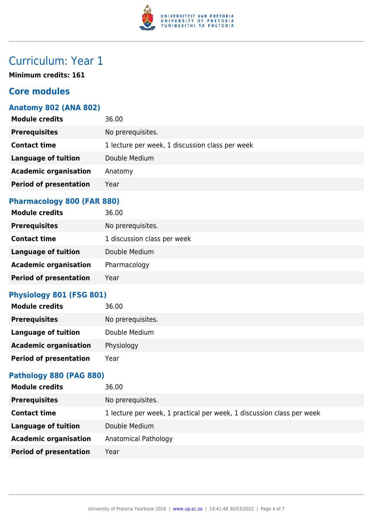

# Curriculum: Year 1

**Minimum credits: 161**

## **Core modules**

### **Anatomy 802 (ANA 802)**

| <b>Module credits</b>         | 36.00                                           |
|-------------------------------|-------------------------------------------------|
| <b>Prerequisites</b>          | No prerequisites.                               |
| <b>Contact time</b>           | 1 lecture per week, 1 discussion class per week |
| Language of tuition           | Double Medium                                   |
| <b>Academic organisation</b>  | Anatomy                                         |
| <b>Period of presentation</b> | Year                                            |
|                               |                                                 |

### **Pharmacology 800 (FAR 880)**

| <b>Module credits</b>         | 36.00                       |
|-------------------------------|-----------------------------|
| <b>Prerequisites</b>          | No prerequisites.           |
| <b>Contact time</b>           | 1 discussion class per week |
| <b>Language of tuition</b>    | Double Medium               |
| <b>Academic organisation</b>  | Pharmacology                |
| <b>Period of presentation</b> | Year                        |

### **Physiology 801 (FSG 801)**

| <b>Module credits</b>         | 36.00             |
|-------------------------------|-------------------|
| <b>Prerequisites</b>          | No prerequisites. |
| Language of tuition           | Double Medium     |
| <b>Academic organisation</b>  | Physiology        |
| <b>Period of presentation</b> | Year              |

### **Pathology 880 (PAG 880)**

| <b>Module credits</b>         | 36.00                                                                 |
|-------------------------------|-----------------------------------------------------------------------|
| <b>Prerequisites</b>          | No prerequisites.                                                     |
| <b>Contact time</b>           | 1 lecture per week, 1 practical per week, 1 discussion class per week |
| <b>Language of tuition</b>    | Double Medium                                                         |
| <b>Academic organisation</b>  | Anatomical Pathology                                                  |
| <b>Period of presentation</b> | Year                                                                  |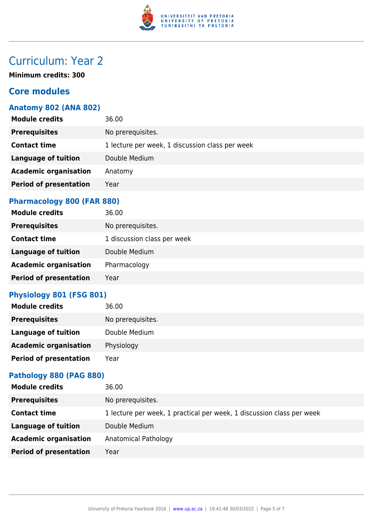

# Curriculum: Year 2

**Minimum credits: 300**

## **Core modules**

### **Anatomy 802 (ANA 802)**

| <b>Module credits</b>         | 36.00                                           |
|-------------------------------|-------------------------------------------------|
| <b>Prerequisites</b>          | No prerequisites.                               |
| <b>Contact time</b>           | 1 lecture per week, 1 discussion class per week |
| <b>Language of tuition</b>    | Double Medium                                   |
| <b>Academic organisation</b>  | Anatomy                                         |
| <b>Period of presentation</b> | Year                                            |
|                               |                                                 |

### **Pharmacology 800 (FAR 880)**

| <b>Module credits</b>         | 36.00                       |
|-------------------------------|-----------------------------|
| <b>Prerequisites</b>          | No prerequisites.           |
| <b>Contact time</b>           | 1 discussion class per week |
| <b>Language of tuition</b>    | Double Medium               |
| <b>Academic organisation</b>  | Pharmacology                |
| <b>Period of presentation</b> | Year                        |

### **Physiology 801 (FSG 801)**

| <b>Module credits</b>         | 36.00             |
|-------------------------------|-------------------|
| <b>Prerequisites</b>          | No prerequisites. |
| Language of tuition           | Double Medium     |
| <b>Academic organisation</b>  | Physiology        |
| <b>Period of presentation</b> | Year              |

### **Pathology 880 (PAG 880)**

| <b>Module credits</b>         | 36.00                                                                 |
|-------------------------------|-----------------------------------------------------------------------|
| <b>Prerequisites</b>          | No prerequisites.                                                     |
| <b>Contact time</b>           | 1 lecture per week, 1 practical per week, 1 discussion class per week |
| <b>Language of tuition</b>    | Double Medium                                                         |
| <b>Academic organisation</b>  | Anatomical Pathology                                                  |
| <b>Period of presentation</b> | Year                                                                  |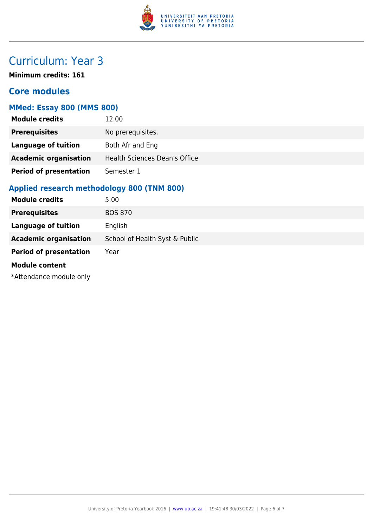

# Curriculum: Year 3

**Minimum credits: 161**

### **Core modules**

### **MMed: Essay 800 (MMS 800)**

| <b>Module credits</b>         | 12.00                                |
|-------------------------------|--------------------------------------|
| <b>Prerequisites</b>          | No prerequisites.                    |
| <b>Language of tuition</b>    | Both Afr and Eng                     |
| <b>Academic organisation</b>  | <b>Health Sciences Dean's Office</b> |
| <b>Period of presentation</b> | Semester 1                           |

### **Applied research methodology 800 (TNM 800)**

| <b>Module credits</b>         | 5.00                           |
|-------------------------------|--------------------------------|
| <b>Prerequisites</b>          | <b>BOS 870</b>                 |
| <b>Language of tuition</b>    | English                        |
| <b>Academic organisation</b>  | School of Health Syst & Public |
| <b>Period of presentation</b> | Year                           |
| <b>Module content</b>         |                                |
| *Attendance module only       |                                |